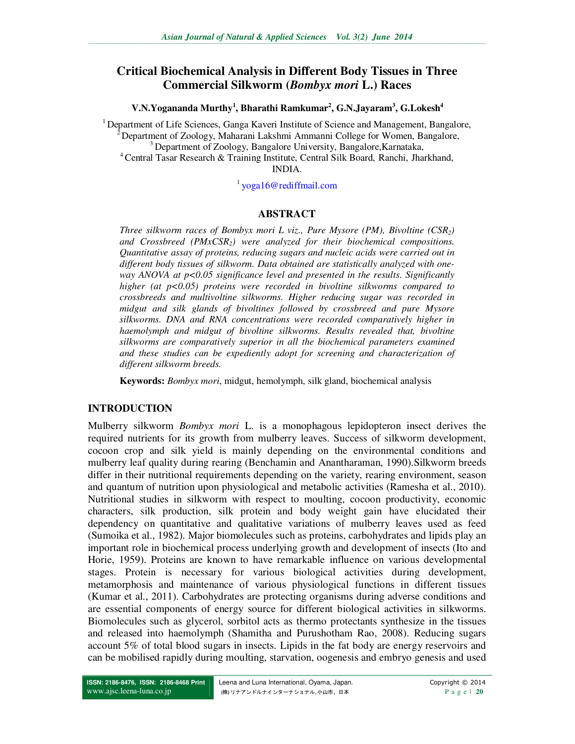# **Critical Biochemical Analysis in Different Body Tissues in Three Commercial Silkworm (***Bombyx mori* **L.) Races**

**V.N.Yogananda Murthy<sup>1</sup> , Bharathi Ramkumar<sup>2</sup> , G.N.Jayaram<sup>3</sup> , G.Lokesh<sup>4</sup>**

<sup>1</sup> Department of Life Sciences, Ganga Kaveri Institute of Science and Management, Bangalore, <sup>2</sup> Department of Zoology, Maharani Lakshmi Ammanni College for Women, Bangalore, <sup>3</sup> Department of Zoology, Bangalore University, Bangalore, Karnataka, <sup>4</sup> Central Tasar Research & Training Institute, Central Silk Board, Ranchi, Jharkhand, INDIA.

<sup>1</sup>yoga16@rediffmail.com

## **ABSTRACT**

*Three silkworm races of Bombyx mori L viz., Pure Mysore (PM), Bivoltine (CSR2) and Crossbreed (PMxCSR2) were analyzed for their biochemical compositions. Quantitative assay of proteins, reducing sugars and nucleic acids were carried out in different body tissues of silkworm. Data obtained are statistically analyzed with oneway ANOVA at p<0.05 significance level and presented in the results. Significantly higher (at p<0.05) proteins were recorded in bivoltine silkworms compared to crossbreeds and multivoltine silkworms. Higher reducing sugar was recorded in midgut and silk glands of bivoltines followed by crossbreed and pure Mysore silkworms. DNA and RNA concentrations were recorded comparatively higher in haemolymph and midgut of bivoltine silkworms. Results revealed that, bivoltine silkworms are comparatively superior in all the biochemical parameters examined and these studies can be expediently adopt for screening and characterization of different silkworm breeds.* 

**Keywords:** *Bombyx mori*, midgut, hemolymph, silk gland, biochemical analysis

## **INTRODUCTION**

Mulberry silkworm *Bombyx mori* L. is a monophagous lepidopteron insect derives the required nutrients for its growth from mulberry leaves. Success of silkworm development, cocoon crop and silk yield is mainly depending on the environmental conditions and mulberry leaf quality during rearing (Benchamin and Anantharaman, 1990).Silkworm breeds differ in their nutritional requirements depending on the variety, rearing environment, season and quantum of nutrition upon physiological and metabolic activities (Ramesha et al., 2010). Nutritional studies in silkworm with respect to moulting, cocoon productivity, economic characters, silk production, silk protein and body weight gain have elucidated their dependency on quantitative and qualitative variations of mulberry leaves used as feed (Sumoika et al., 1982). Major biomolecules such as proteins, carbohydrates and lipids play an important role in biochemical process underlying growth and development of insects (Ito and Horie, 1959). Proteins are known to have remarkable influence on various developmental stages. Protein is necessary for various biological activities during development, metamorphosis and maintenance of various physiological functions in different tissues (Kumar et al., 2011). Carbohydrates are protecting organisms during adverse conditions and are essential components of energy source for different biological activities in silkworms. Biomolecules such as glycerol, sorbitol acts as thermo protectants synthesize in the tissues and released into haemolymph (Shamitha and Purushotham Rao, 2008). Reducing sugars account 5% of total blood sugars in insects. Lipids in the fat body are energy reservoirs and can be mobilised rapidly during moulting, starvation, oogenesis and embryo genesis and used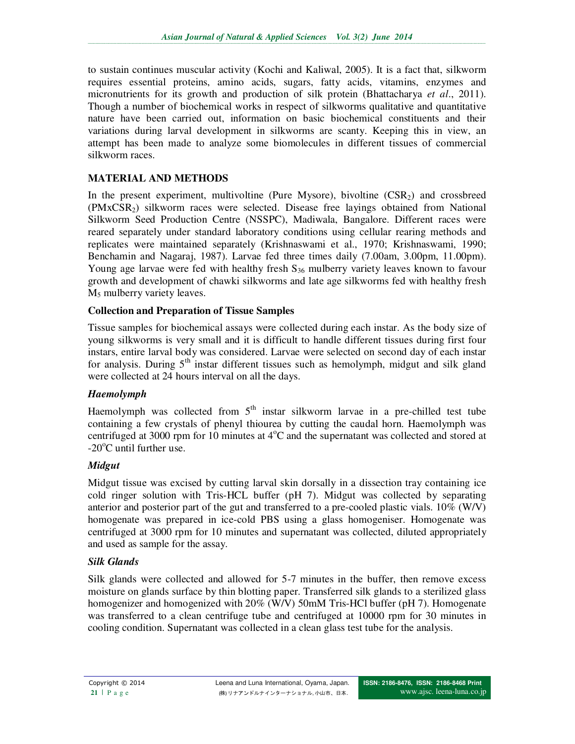to sustain continues muscular activity (Kochi and Kaliwal, 2005). It is a fact that, silkworm requires essential proteins, amino acids, sugars, fatty acids, vitamins, enzymes and micronutrients for its growth and production of silk protein (Bhattacharya *et al*., 2011). Though a number of biochemical works in respect of silkworms qualitative and quantitative nature have been carried out, information on basic biochemical constituents and their variations during larval development in silkworms are scanty. Keeping this in view, an attempt has been made to analyze some biomolecules in different tissues of commercial silkworm races.

# **MATERIAL AND METHODS**

In the present experiment, multivoltine (Pure Mysore), bivoltine  $(CSR<sub>2</sub>)$  and crossbreed (PMxCSR2) silkworm races were selected. Disease free layings obtained from National Silkworm Seed Production Centre (NSSPC), Madiwala, Bangalore. Different races were reared separately under standard laboratory conditions using cellular rearing methods and replicates were maintained separately (Krishnaswami et al., 1970; Krishnaswami, 1990; Benchamin and Nagaraj, 1987). Larvae fed three times daily (7.00am, 3.00pm, 11.00pm). Young age larvae were fed with healthy fresh  $S_{36}$  mulberry variety leaves known to favour growth and development of chawki silkworms and late age silkworms fed with healthy fresh M5 mulberry variety leaves.

## **Collection and Preparation of Tissue Samples**

Tissue samples for biochemical assays were collected during each instar. As the body size of young silkworms is very small and it is difficult to handle different tissues during first four instars, entire larval body was considered. Larvae were selected on second day of each instar for analysis. During  $5<sup>th</sup>$  instar different tissues such as hemolymph, midgut and silk gland were collected at 24 hours interval on all the days.

## *Haemolymph*

Haemolymph was collected from  $5<sup>th</sup>$  instar silkworm larvae in a pre-chilled test tube containing a few crystals of phenyl thiourea by cutting the caudal horn. Haemolymph was centrifuged at 3000 rpm for 10 minutes at  $4^{\circ}$ C and the supernatant was collected and stored at  $-20^{\circ}$ C until further use.

## *Midgut*

Midgut tissue was excised by cutting larval skin dorsally in a dissection tray containing ice cold ringer solution with Tris-HCL buffer (pH 7). Midgut was collected by separating anterior and posterior part of the gut and transferred to a pre-cooled plastic vials.  $10\%$  (W/V) homogenate was prepared in ice-cold PBS using a glass homogeniser. Homogenate was centrifuged at 3000 rpm for 10 minutes and supernatant was collected, diluted appropriately and used as sample for the assay.

## *Silk Glands*

Silk glands were collected and allowed for 5-7 minutes in the buffer, then remove excess moisture on glands surface by thin blotting paper. Transferred silk glands to a sterilized glass homogenizer and homogenized with 20% (W/V) 50mM Tris-HCl buffer (pH 7). Homogenate was transferred to a clean centrifuge tube and centrifuged at 10000 rpm for 30 minutes in cooling condition. Supernatant was collected in a clean glass test tube for the analysis.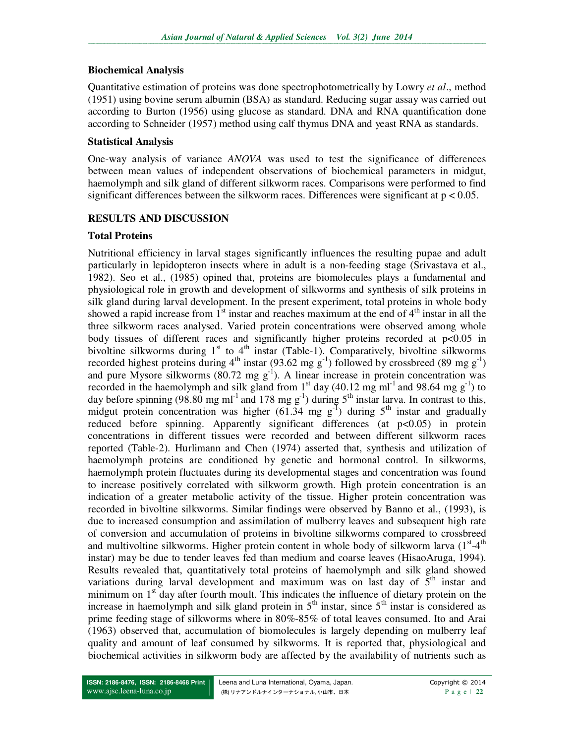## **Biochemical Analysis**

Quantitative estimation of proteins was done spectrophotometrically by Lowry *et al*., method (1951) using bovine serum albumin (BSA) as standard. Reducing sugar assay was carried out according to Burton (1956) using glucose as standard. DNA and RNA quantification done according to Schneider (1957) method using calf thymus DNA and yeast RNA as standards.

## **Statistical Analysis**

One-way analysis of variance *ANOVA* was used to test the significance of differences between mean values of independent observations of biochemical parameters in midgut, haemolymph and silk gland of different silkworm races. Comparisons were performed to find significant differences between the silkworm races. Differences were significant at  $p < 0.05$ .

## **RESULTS AND DISCUSSION**

## **Total Proteins**

Nutritional efficiency in larval stages significantly influences the resulting pupae and adult particularly in lepidopteron insects where in adult is a non-feeding stage (Srivastava et al., 1982). Seo et al., (1985) opined that, proteins are biomolecules plays a fundamental and physiological role in growth and development of silkworms and synthesis of silk proteins in silk gland during larval development. In the present experiment, total proteins in whole body showed a rapid increase from  $1<sup>st</sup>$  instar and reaches maximum at the end of  $4<sup>th</sup>$  instar in all the three silkworm races analysed. Varied protein concentrations were observed among whole body tissues of different races and significantly higher proteins recorded at p<0.05 in bivoltine silkworms during  $1<sup>st</sup>$  to  $4<sup>th</sup>$  instar (Table-1). Comparatively, bivoltine silkworms recorded highest proteins during  $4<sup>th</sup>$  instar (93.62 mg g<sup>-1</sup>) followed by crossbreed (89 mg g<sup>-1</sup>) and pure Mysore silkworms (80.72 mg  $g^{-1}$ ). A linear increase in protein concentration was recorded in the haemolymph and silk gland from  $1<sup>st</sup>$  day (40.12 mg ml<sup>-1</sup> and 98.64 mg g<sup>-1</sup>) to day before spinning (98.80 mg ml<sup>-1</sup> and 178 mg g<sup>-1</sup>) during 5<sup>th</sup> instar larva. In contrast to this, midgut protein concentration was higher  $(61.34 \text{ mg g}^{-1})$  during  $5^{\text{th}}$  instar and gradually reduced before spinning. Apparently significant differences (at p<0.05) in protein concentrations in different tissues were recorded and between different silkworm races reported (Table-2). Hurlimann and Chen (1974) asserted that, synthesis and utilization of haemolymph proteins are conditioned by genetic and hormonal control. In silkworms, haemolymph protein fluctuates during its developmental stages and concentration was found to increase positively correlated with silkworm growth. High protein concentration is an indication of a greater metabolic activity of the tissue. Higher protein concentration was recorded in bivoltine silkworms. Similar findings were observed by Banno et al., (1993), is due to increased consumption and assimilation of mulberry leaves and subsequent high rate of conversion and accumulation of proteins in bivoltine silkworms compared to crossbreed and multivoltine silkworms. Higher protein content in whole body of silkworm larva  $(1<sup>st</sup>-4<sup>th</sup>$ instar) may be due to tender leaves fed than medium and coarse leaves (HisaoAruga, 1994). Results revealed that, quantitatively total proteins of haemolymph and silk gland showed variations during larval development and maximum was on last day of  $\bar{5}^{th}$  instar and minimum on  $1<sup>st</sup>$  day after fourth moult. This indicates the influence of dietary protein on the increase in haemolymph and silk gland protein in  $5<sup>th</sup>$  instar, since  $5<sup>th</sup>$  instar is considered as prime feeding stage of silkworms where in 80%-85% of total leaves consumed. Ito and Arai (1963) observed that, accumulation of biomolecules is largely depending on mulberry leaf quality and amount of leaf consumed by silkworms. It is reported that, physiological and biochemical activities in silkworm body are affected by the availability of nutrients such as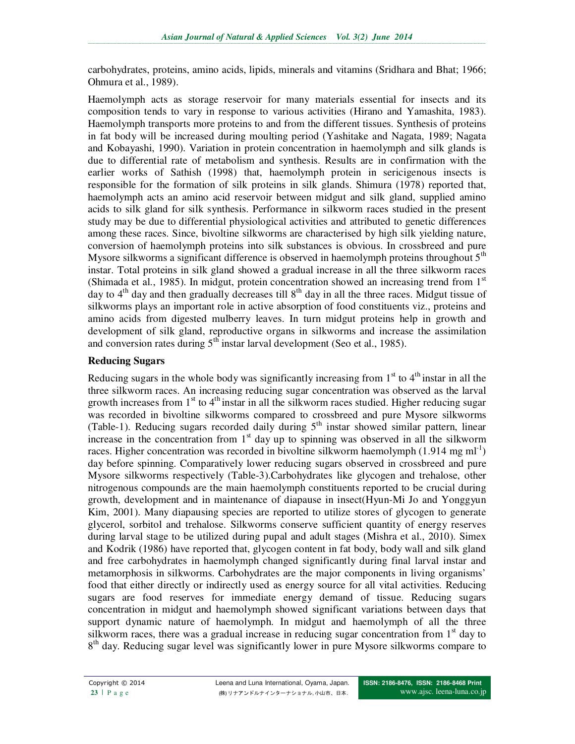carbohydrates, proteins, amino acids, lipids, minerals and vitamins (Sridhara and Bhat; 1966; Ohmura et al., 1989).

Haemolymph acts as storage reservoir for many materials essential for insects and its composition tends to vary in response to various activities (Hirano and Yamashita, 1983). Haemolymph transports more proteins to and from the different tissues. Synthesis of proteins in fat body will be increased during moulting period (Yashitake and Nagata, 1989; Nagata and Kobayashi, 1990). Variation in protein concentration in haemolymph and silk glands is due to differential rate of metabolism and synthesis. Results are in confirmation with the earlier works of Sathish (1998) that, haemolymph protein in sericigenous insects is responsible for the formation of silk proteins in silk glands. Shimura (1978) reported that, haemolymph acts an amino acid reservoir between midgut and silk gland, supplied amino acids to silk gland for silk synthesis. Performance in silkworm races studied in the present study may be due to differential physiological activities and attributed to genetic differences among these races. Since, bivoltine silkworms are characterised by high silk yielding nature, conversion of haemolymph proteins into silk substances is obvious. In crossbreed and pure Mysore silkworms a significant difference is observed in haemolymph proteins throughout  $5<sup>th</sup>$ instar. Total proteins in silk gland showed a gradual increase in all the three silkworm races (Shimada et al., 1985). In midgut, protein concentration showed an increasing trend from  $1<sup>st</sup>$ day to  $4<sup>th</sup>$  day and then gradually decreases till  $8<sup>th</sup>$  day in all the three races. Midgut tissue of silkworms plays an important role in active absorption of food constituents viz., proteins and amino acids from digested mulberry leaves. In turn midgut proteins help in growth and development of silk gland, reproductive organs in silkworms and increase the assimilation and conversion rates during  $5<sup>th</sup>$  instar larval development (Seo et al., 1985).

## **Reducing Sugars**

Reducing sugars in the whole body was significantly increasing from  $1<sup>st</sup>$  to  $4<sup>th</sup>$  instar in all the three silkworm races. An increasing reducing sugar concentration was observed as the larval growth increases from  $1<sup>st</sup>$  to  $4<sup>th</sup>$  instar in all the silkworm races studied. Higher reducing sugar was recorded in bivoltine silkworms compared to crossbreed and pure Mysore silkworms (Table-1). Reducing sugars recorded daily during  $5<sup>th</sup>$  instar showed similar pattern, linear increase in the concentration from  $1<sup>st</sup>$  day up to spinning was observed in all the silkworm races. Higher concentration was recorded in bivoltine silkworm haemolymph  $(1.914 \text{ mg} \text{ m} \text{I}^{-1})$ day before spinning. Comparatively lower reducing sugars observed in crossbreed and pure Mysore silkworms respectively (Table-3).Carbohydrates like glycogen and trehalose, other nitrogenous compounds are the main haemolymph constituents reported to be crucial during growth, development and in maintenance of diapause in insect(Hyun-Mi Jo and Yonggyun Kim, 2001). Many diapausing species are reported to utilize stores of glycogen to generate glycerol, sorbitol and trehalose. Silkworms conserve sufficient quantity of energy reserves during larval stage to be utilized during pupal and adult stages (Mishra et al., 2010). Simex and Kodrik (1986) have reported that, glycogen content in fat body, body wall and silk gland and free carbohydrates in haemolymph changed significantly during final larval instar and metamorphosis in silkworms. Carbohydrates are the major components in living organisms' food that either directly or indirectly used as energy source for all vital activities. Reducing sugars are food reserves for immediate energy demand of tissue. Reducing sugars concentration in midgut and haemolymph showed significant variations between days that support dynamic nature of haemolymph. In midgut and haemolymph of all the three silkworm races, there was a gradual increase in reducing sugar concentration from  $1<sup>st</sup>$  day to 8<sup>th</sup> day. Reducing sugar level was significantly lower in pure Mysore silkworms compare to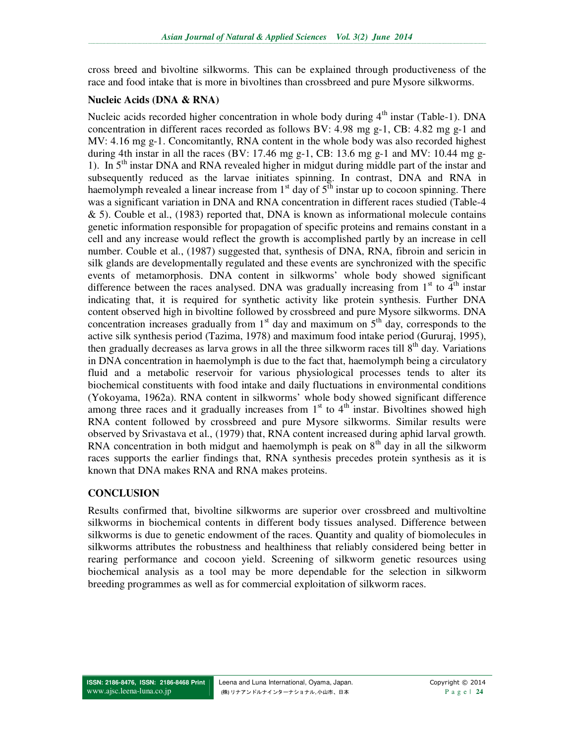cross breed and bivoltine silkworms. This can be explained through productiveness of the race and food intake that is more in bivoltines than crossbreed and pure Mysore silkworms.

#### **Nucleic Acids (DNA & RNA)**

Nucleic acids recorded higher concentration in whole body during  $4<sup>th</sup>$  instar (Table-1). DNA concentration in different races recorded as follows BV: 4.98 mg  $g-1$ , CB: 4.82 mg  $g-1$  and MV: 4.16 mg g-1. Concomitantly, RNA content in the whole body was also recorded highest during 4th instar in all the races (BV: 17.46 mg g-1, CB: 13.6 mg g-1 and MV: 10.44 mg g-1). In 5<sup>th</sup> instar DNA and RNA revealed higher in midgut during middle part of the instar and subsequently reduced as the larvae initiates spinning. In contrast, DNA and RNA in haemolymph revealed a linear increase from  $1<sup>st</sup>$  day of  $5<sup>th</sup>$  instar up to cocoon spinning. There was a significant variation in DNA and RNA concentration in different races studied (Table-4 & 5). Couble et al., (1983) reported that, DNA is known as informational molecule contains genetic information responsible for propagation of specific proteins and remains constant in a cell and any increase would reflect the growth is accomplished partly by an increase in cell number. Couble et al., (1987) suggested that, synthesis of DNA, RNA, fibroin and sericin in silk glands are developmentally regulated and these events are synchronized with the specific events of metamorphosis. DNA content in silkworms' whole body showed significant difference between the races analysed. DNA was gradually increasing from  $1<sup>st</sup>$  to  $4<sup>th</sup>$  instar indicating that, it is required for synthetic activity like protein synthesis. Further DNA content observed high in bivoltine followed by crossbreed and pure Mysore silkworms. DNA concentration increases gradually from  $1<sup>st</sup>$  day and maximum on  $5<sup>th</sup>$  day, corresponds to the active silk synthesis period (Tazima, 1978) and maximum food intake period (Gururaj, 1995), then gradually decreases as larva grows in all the three silkworm races till  $8<sup>th</sup>$  day. Variations in DNA concentration in haemolymph is due to the fact that, haemolymph being a circulatory fluid and a metabolic reservoir for various physiological processes tends to alter its biochemical constituents with food intake and daily fluctuations in environmental conditions (Yokoyama, 1962a). RNA content in silkworms' whole body showed significant difference among three races and it gradually increases from  $1<sup>st</sup>$  to  $4<sup>th</sup>$  instar. Bivoltines showed high RNA content followed by crossbreed and pure Mysore silkworms. Similar results were observed by Srivastava et al., (1979) that, RNA content increased during aphid larval growth. RNA concentration in both midgut and haemolymph is peak on  $8<sup>th</sup>$  day in all the silkworm races supports the earlier findings that, RNA synthesis precedes protein synthesis as it is known that DNA makes RNA and RNA makes proteins.

## **CONCLUSION**

Results confirmed that, bivoltine silkworms are superior over crossbreed and multivoltine silkworms in biochemical contents in different body tissues analysed. Difference between silkworms is due to genetic endowment of the races. Quantity and quality of biomolecules in silkworms attributes the robustness and healthiness that reliably considered being better in rearing performance and cocoon yield. Screening of silkworm genetic resources using biochemical analysis as a tool may be more dependable for the selection in silkworm breeding programmes as well as for commercial exploitation of silkworm races.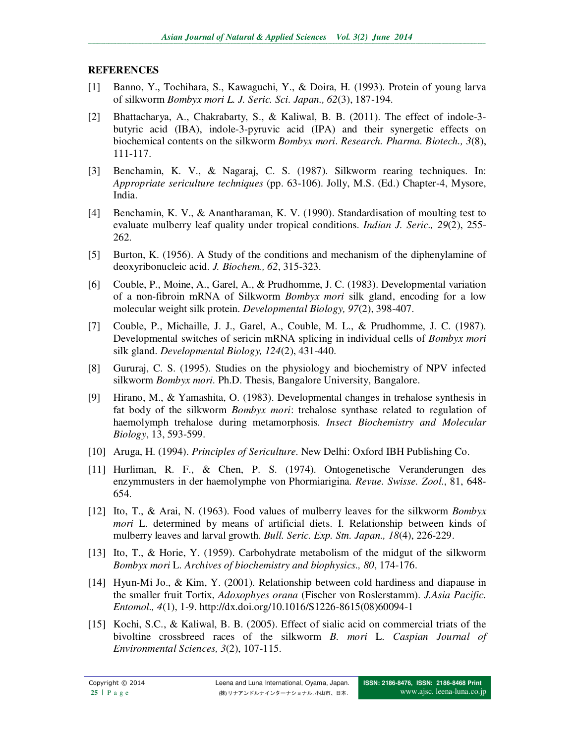# **REFERENCES**

- [1] Banno, Y., Tochihara, S., Kawaguchi, Y., & Doira, H. (1993). Protein of young larva of silkworm *Bombyx mori L. J. Seric. Sci*. *Japan., 62*(3), 187-194.
- [2] Bhattacharya, A., Chakrabarty, S., & Kaliwal, B. B. (2011). The effect of indole-3 butyric acid (IBA), indole-3-pyruvic acid (IPA) and their synergetic effects on biochemical contents on the silkworm *Bombyx mori*. *Research. Pharma. Biotech., 3*(8), 111-117.
- [3] Benchamin, K. V., & Nagaraj, C. S. (1987). Silkworm rearing techniques. In: *Appropriate sericulture techniques* (pp. 63-106). Jolly, M.S. (Ed.) Chapter-4, Mysore, India.
- [4] Benchamin, K. V., & Anantharaman, K. V. (1990). Standardisation of moulting test to evaluate mulberry leaf quality under tropical conditions. *Indian J. Seric., 29*(2), 255- 262.
- [5] Burton, K. (1956). A Study of the conditions and mechanism of the diphenylamine of deoxyribonucleic acid. *J. Biochem., 62*, 315-323.
- [6] Couble, P., Moine, A., Garel, A., & Prudhomme, J. C. (1983). Developmental variation of a non-fibroin mRNA of Silkworm *Bombyx mori* silk gland, encoding for a low molecular weight silk protein. *Developmental Biology, 97*(2), 398-407.
- [7] Couble, P., Michaille, J. J., Garel, A., Couble, M. L., & Prudhomme, J. C. (1987). Developmental switches of sericin mRNA splicing in individual cells of *Bombyx mori* silk gland. *Developmental Biology, 124*(2), 431-440.
- [8] Gururaj, C. S. (1995). Studies on the physiology and biochemistry of NPV infected silkworm *Bombyx mori.* Ph.D. Thesis, Bangalore University, Bangalore.
- [9] Hirano, M., & Yamashita, O. (1983). Developmental changes in trehalose synthesis in fat body of the silkworm *Bombyx mori*: trehalose synthase related to regulation of haemolymph trehalose during metamorphosis. *Insect Biochemistry and Molecular Biology*, 13, 593-599.
- [10] Aruga, H. (1994). *Principles of Sericulture*. New Delhi: Oxford IBH Publishing Co.
- [11] Hurliman, R. F., & Chen, P. S. (1974). Ontogenetische Veranderungen des enzymmusters in der haemolymphe von Phormiarigina*. Revue. Swisse. Zool*., 81, 648- 654.
- [12] Ito, T., & Arai, N. (1963). Food values of mulberry leaves for the silkworm *Bombyx mori* L. determined by means of artificial diets. I. Relationship between kinds of mulberry leaves and larval growth. *Bull. Seric. Exp. Stn. Japan., 18*(4), 226-229.
- [13] Ito, T., & Horie, Y. (1959). Carbohydrate metabolism of the midgut of the silkworm *Bombyx mori* L. *Archives of biochemistry and biophysics., 80*, 174-176.
- [14] Hyun-Mi Jo., & Kim, Y. (2001). Relationship between cold hardiness and diapause in the smaller fruit Tortix, *Adoxophyes orana* (Fischer von Roslerstamm). *J.Asia Pacific. Entomol., 4*(1), 1-9. http://dx.doi.org/10.1016/S1226-8615(08)60094-1
- [15] Kochi, S.C., & Kaliwal, B. B. (2005). Effect of sialic acid on commercial triats of the bivoltine crossbreed races of the silkworm *B. mori* L. *Caspian Journal of Environmental Sciences, 3*(2), 107-115.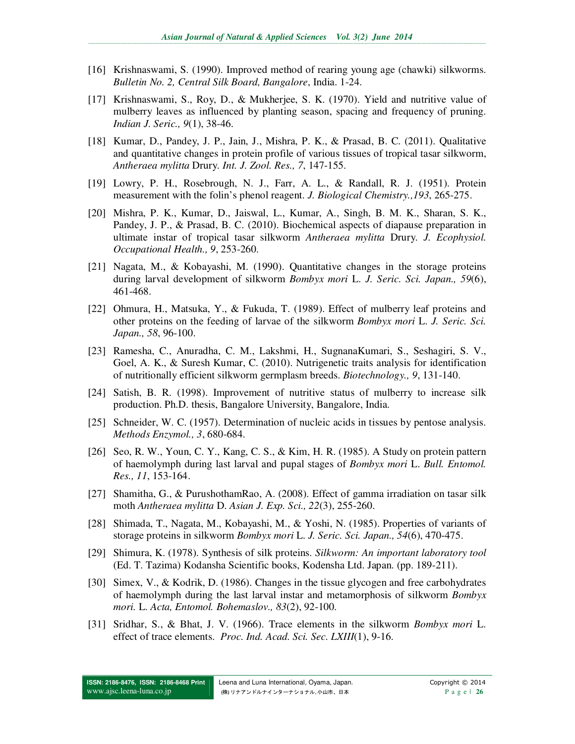- [16] Krishnaswami, S. (1990). Improved method of rearing young age (chawki) silkworms. *Bulletin No. 2, Central Silk Board, Bangalore*, India. 1-24.
- [17] Krishnaswami, S., Roy, D., & Mukherjee, S. K. (1970). Yield and nutritive value of mulberry leaves as influenced by planting season, spacing and frequency of pruning. *Indian J. Seric., 9*(1), 38-46.
- [18] Kumar, D., Pandey, J. P., Jain, J., Mishra, P. K., & Prasad, B. C. (2011). Qualitative and quantitative changes in protein profile of various tissues of tropical tasar silkworm, *Antheraea mylitta* Drury. *Int. J. Zool. Res., 7*, 147-155.
- [19] Lowry, P. H., Rosebrough, N. J., Farr, A. L., & Randall, R. J. (1951). Protein measurement with the folin's phenol reagent. *J. Biological Chemistry.,193*, 265-275.
- [20] Mishra, P. K., Kumar, D., Jaiswal, L., Kumar, A., Singh, B. M. K., Sharan, S. K., Pandey, J. P., & Prasad, B. C. (2010). Biochemical aspects of diapause preparation in ultimate instar of tropical tasar silkworm *Antheraea mylitta* Drury. *J. Ecophysiol. Occupational Health., 9*, 253-260.
- [21] Nagata, M., & Kobayashi, M. (1990). Quantitative changes in the storage proteins during larval development of silkworm *Bombyx mori* L. *J. Seric. Sci. Japan., 59*(6), 461-468.
- [22] Ohmura, H., Matsuka, Y., & Fukuda, T. (1989). Effect of mulberry leaf proteins and other proteins on the feeding of larvae of the silkworm *Bombyx mori* L. *J. Seric. Sci. Japan., 58*, 96-100.
- [23] Ramesha, C., Anuradha, C. M., Lakshmi, H., SugnanaKumari, S., Seshagiri, S. V., Goel, A. K., & Suresh Kumar, C. (2010). Nutrigenetic traits analysis for identification of nutritionally efficient silkworm germplasm breeds. *Biotechnology., 9*, 131-140.
- [24] Satish, B. R. (1998). Improvement of nutritive status of mulberry to increase silk production. Ph.D. thesis, Bangalore University, Bangalore, India.
- [25] Schneider, W. C. (1957). Determination of nucleic acids in tissues by pentose analysis. *Methods Enzymol., 3*, 680-684.
- [26] Seo, R. W., Youn, C. Y., Kang, C. S., & Kim, H. R. (1985). A Study on protein pattern of haemolymph during last larval and pupal stages of *Bombyx mori* L. *Bull. Entomol. Res., 11*, 153-164.
- [27] Shamitha, G., & PurushothamRao, A. (2008). Effect of gamma irradiation on tasar silk moth *Antheraea mylitta* D. *Asian J. Exp. Sci., 22*(3), 255-260.
- [28] Shimada, T., Nagata, M., Kobayashi, M., & Yoshi, N. (1985). Properties of variants of storage proteins in silkworm *Bombyx mori* L. *J. Seric. Sci. Japan., 54*(6), 470-475.
- [29] Shimura, K. (1978). Synthesis of silk proteins. *Silkworm: An important laboratory tool* (Ed. T. Tazima) Kodansha Scientific books, Kodensha Ltd. Japan. (pp. 189-211).
- [30] Simex, V., & Kodrik, D. (1986). Changes in the tissue glycogen and free carbohydrates of haemolymph during the last larval instar and metamorphosis of silkworm *Bombyx mori.* L. *Acta, Entomol. Bohemaslov., 83*(2), 92-100.
- [31] Sridhar, S., & Bhat, J. V. (1966). Trace elements in the silkworm *Bombyx mori* L. effect of trace elements. *Proc. Ind. Acad. Sci. Sec. LXIII*(1), 9-16.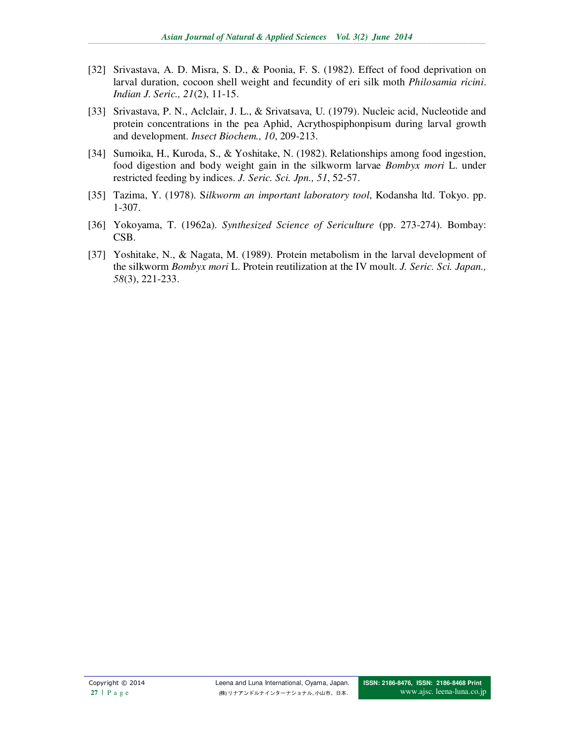- [32] Srivastava, A. D. Misra, S. D., & Poonia, F. S. (1982). Effect of food deprivation on larval duration, cocoon shell weight and fecundity of eri silk moth *Philosamia ricini*. *Indian J. Seric., 21*(2), 11-15.
- [33] Srivastava, P. N., Aclclair, J. L., & Srivatsava, U. (1979). Nucleic acid, Nucleotide and protein concentrations in the pea Aphid, Acrythospiphonpisum during larval growth and development. *Insect Biochem., 10*, 209-213.
- [34] Sumoika, H., Kuroda, S., & Yoshitake, N. (1982). Relationships among food ingestion, food digestion and body weight gain in the silkworm larvae *Bombyx mori* L. under restricted feeding by indices. *J. Seric. Sci. Jpn., 51*, 52-57.
- [35] Tazima, Y. (1978). S*ilkworm an important laboratory tool*, Kodansha ltd. Tokyo. pp. 1-307.
- [36] Yokoyama, T. (1962a). *Synthesized Science of Sericulture* (pp. 273-274). Bombay: CSB.
- [37] Yoshitake, N., & Nagata, M. (1989). Protein metabolism in the larval development of the silkworm *Bombyx mori* L. Protein reutilization at the IV moult. *J. Seric. Sci. Japan., 58*(3), 221-233.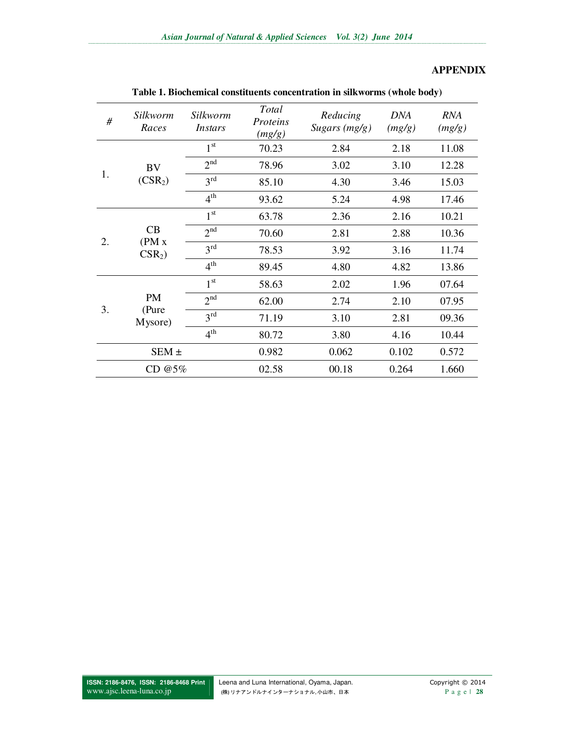## **APPENDIX**

| #      | Silkworm<br>Races        | Silkworm<br>Instars | Total<br>Proteins<br>(mg/g) | Reducing<br>Sugars (mg/g) | <b>DNA</b><br>(mg/g) | <b>RNA</b><br>(mg/g) |
|--------|--------------------------|---------------------|-----------------------------|---------------------------|----------------------|----------------------|
|        |                          | 1 <sup>st</sup>     | 70.23                       | 2.84                      | 2.18                 | 11.08                |
|        | BV                       | 2 <sup>nd</sup>     | 78.96                       | 3.02                      | 3.10                 | 12.28                |
| 1.     | (CSR <sub>2</sub> )      | 3 <sup>rd</sup>     | 85.10                       | 4.30                      | 3.46                 | 15.03                |
|        |                          | 4 <sup>th</sup>     | 93.62                       | 5.24                      | 4.98                 | 17.46                |
|        | CB<br>(PM x)<br>$CSR2$ ) | 1 <sup>st</sup>     | 63.78                       | 2.36                      | 2.16                 | 10.21                |
|        |                          | 2 <sup>nd</sup>     | 70.60                       | 2.81                      | 2.88                 | 10.36                |
| 2.     |                          | 3 <sup>rd</sup>     | 78.53                       | 3.92                      | 3.16                 | 11.74                |
|        |                          | 4 <sup>th</sup>     | 89.45                       | 4.80                      | 4.82                 | 13.86                |
|        |                          | 1 <sup>st</sup>     | 58.63                       | 2.02                      | 1.96                 | 07.64                |
|        | <b>PM</b>                | 2 <sup>nd</sup>     | 62.00                       | 2.74                      | 2.10                 | 07.95                |
| 3.     | (Pure<br>Mysore)         | 3 <sup>rd</sup>     | 71.19                       | 3.10                      | 2.81                 | 09.36                |
|        |                          | 4 <sup>th</sup>     | 80.72                       | 3.80                      | 4.16                 | 10.44                |
|        | $SEM \pm$                |                     | 0.982                       | 0.062                     | 0.102                | 0.572                |
| CD @5% |                          |                     | 02.58                       | 00.18                     | 0.264                | 1.660                |

**Table 1. Biochemical constituents concentration in silkworms (whole body)**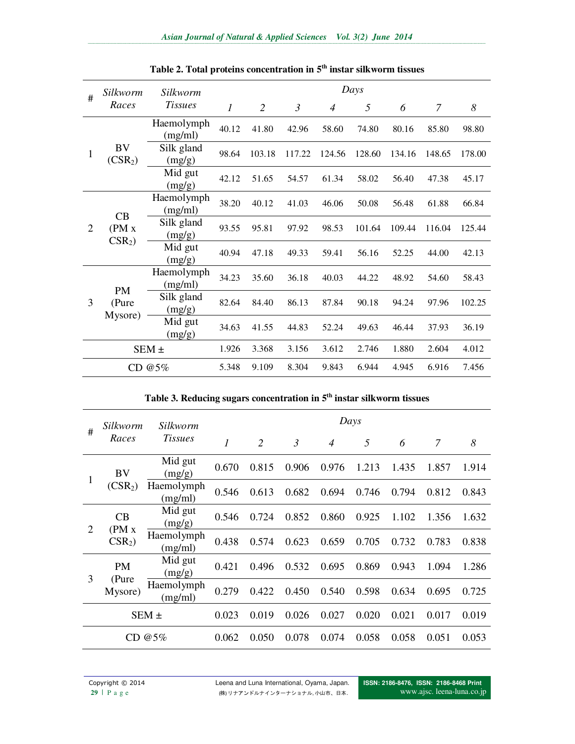| #              | Silkworm                      | Silkworm              | Days           |                |                |                |        |        |        |        |  |
|----------------|-------------------------------|-----------------------|----------------|----------------|----------------|----------------|--------|--------|--------|--------|--|
|                | Races                         | <b>Tissues</b>        | $\mathfrak{I}$ | $\overline{2}$ | $\mathfrak{Z}$ | $\overline{4}$ | 5      | 6      | 7      | 8      |  |
| 1              | BV<br>(CSR <sub>2</sub> )     | Haemolymph<br>(mg/ml) | 40.12          | 41.80          | 42.96          | 58.60          | 74.80  | 80.16  | 85.80  | 98.80  |  |
|                |                               | Silk gland<br>(mg/g)  | 98.64          | 103.18         | 117.22         | 124.56         | 128.60 | 134.16 | 148.65 | 178.00 |  |
|                |                               | Mid gut<br>(mg/g)     | 42.12          | 51.65          | 54.57          | 61.34          | 58.02  | 56.40  | 47.38  | 45.17  |  |
| $\overline{2}$ | CB<br>(PM x)<br>$CSR2$ )      | Haemolymph<br>(mg/ml) | 38.20          | 40.12          | 41.03          | 46.06          | 50.08  | 56.48  | 61.88  | 66.84  |  |
|                |                               | Silk gland<br>(mg/g)  | 93.55          | 95.81          | 97.92          | 98.53          | 101.64 | 109.44 | 116.04 | 125.44 |  |
|                |                               | Mid gut<br>(mg/g)     | 40.94          | 47.18          | 49.33          | 59.41          | 56.16  | 52.25  | 44.00  | 42.13  |  |
|                |                               | Haemolymph<br>(mg/ml) | 34.23          | 35.60          | 36.18          | 40.03          | 44.22  | 48.92  | 54.60  | 58.43  |  |
| 3              | <b>PM</b><br>(Pure<br>Mysore) | Silk gland<br>(mg/g)  | 82.64          | 84.40          | 86.13          | 87.84          | 90.18  | 94.24  | 97.96  | 102.25 |  |
|                |                               | Mid gut<br>(mg/g)     | 34.63          | 41.55          | 44.83          | 52.24          | 49.63  | 46.44  | 37.93  | 36.19  |  |
| $SEM \pm$      |                               |                       | 1.926          | 3.368          | 3.156          | 3.612          | 2.746  | 1.880  | 2.604  | 4.012  |  |
| CD $@5%$       |                               |                       | 5.348          | 9.109          | 8.304          | 9.843          | 6.944  | 4.945  | 6.916  | 7.456  |  |

**Table 2. Total proteins concentration in 5th instar silkworm tissues** 

# **Table 3. Reducing sugars concentration in 5th instar silkworm tissues**

| #             | Silkworm<br>Races         | Silkworm<br><b>Tissues</b> | Days  |       |                |                |       |       |       |       |  |  |
|---------------|---------------------------|----------------------------|-------|-------|----------------|----------------|-------|-------|-------|-------|--|--|
|               |                           |                            | 1     | 2     | $\mathfrak{Z}$ | $\overline{4}$ | 5     | 6     | 7     | 8     |  |  |
| 1             | BV<br>(CSR <sub>2</sub> ) | Mid gut<br>(mg/g)          | 0.670 | 0.815 | 0.906          | 0.976          | 1.213 | 1.435 | 1.857 | 1.914 |  |  |
|               |                           | Haemolymph<br>(mg/ml)      | 0.546 | 0.613 | 0.682          | 0.694          | 0.746 | 0.794 | 0.812 | 0.843 |  |  |
| 2             | CB<br>(PM x)<br>$CSR2$ )  | Mid gut<br>(mg/g)          | 0.546 | 0.724 | 0.852          | 0.860          | 0.925 | 1.102 | 1.356 | 1.632 |  |  |
|               |                           | Haemolymph<br>(mg/ml)      | 0.438 | 0.574 | 0.623          | 0.659          | 0.705 | 0.732 | 0.783 | 0.838 |  |  |
| 3             | <b>PM</b>                 | Mid gut<br>(mg/g)          | 0.421 | 0.496 | 0.532          | 0.695          | 0.869 | 0.943 | 1.094 | 1.286 |  |  |
|               | (Pure<br>Mysore)          | Haemolymph<br>(mg/ml)      | 0.279 | 0.422 | 0.450          | 0.540          | 0.598 | 0.634 | 0.695 | 0.725 |  |  |
| $SEM \pm$     |                           |                            | 0.023 | 0.019 | 0.026          | 0.027          | 0.020 | 0.021 | 0.017 | 0.019 |  |  |
| $@5\%$<br>CD. |                           |                            | 0.062 | 0.050 | 0.078          | 0.074          | 0.058 | 0.058 | 0.051 | 0.053 |  |  |